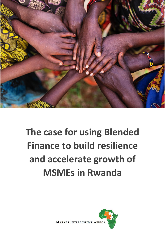

# **The case for using Blended Finance to build resilience and accelerate growth of MSMEs in Rwanda**

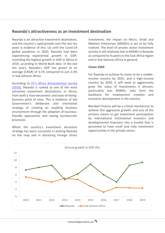## **Rwanda's attractiveness as an investment destination**

Rwanda is an attractive investment destination, and the country's rapid growth over the last ten years is evidence of this. Up until the Covid-19 global pandemic in 2020, Rwanda had been experiencing exponential growth in GDP, recording the highest growth in GDP in Africa in 2019, according to World Bank data. In the last ten years, Rwanda's GDP has grown at an average (CAGR) of 5.1% compared to just 2.4% in Sub Saharan Africa.

According to [EY's Africa Attractiveness Survey](https://assets.ey.com/content/dam/ey-sites/ey-com/en_gl/topics/attractiveness/ey-africa-attractiveness-report-2019.pdf)  [\(2019\),](https://assets.ey.com/content/dam/ey-sites/ey-com/en_gl/topics/attractiveness/ey-africa-attractiveness-report-2019.pdf) Rwanda is ranked as one of the most attractive investment destinations in Africa, from both a macroeconomic and ease-of-doingbusiness point of view. This is evidence of the Government's deliberate and intentional strategy of creating an enabling business environment through the adoption of businessfriendly approaches and easing bureaucratic processes.

Whilst the country's investment attraction strategy has been successful in putting Rwanda on the map and in attracting Foreign Direct Investment, the impact on Micro, Small and Medium Enterprises (MSMEs) is yet to be fully realised. The level of private sector investment activity is still relatively low in MSMEs in Rwanda as compared to its peers in the East Africa region and in Sub-Saharan Africa in general.

#### **Vision 2050**

For Rwanda to achieve its vision to be a middleincome country by 2035, and a high-income country by 2050, it will need to aggressively grow the value of investments it attracts, particularly into MSMEs, who form the backbone for employment creation and economic development in the country.

Blended Finance will be a critical mechanism to achieve this aggressive growth, and one of the primary means to get investment participation by international institutional investors and developmental financiers into a market that is perceived to have small and risky investment opportunities in the private sector.

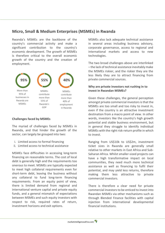# **Micro, Small & Medium Enterprises (MSMEs) in Rwanda**

Rwanda's MSMEs are the backbone of the country's commercial activity and make a significant contribution to the country's economic development. The growth of MSMEs is therefore critical to the overall economic growth of the country and the creation of employment.



#### **Challenges faced by MSMEs**

The myriad of challenges faced by MSMEs in Rwanda, and that hinder the growth of the sector, can largely be grouped into two:

- i. Limited access to formal financing
- ii. Limited access to technical assistance

MSMEs face difficulties in accessing long-term financing on reasonable terms. The cost of local debt is generally high and the requirements too onerous to meet. MSMEs are typically expected to meet high collateral requirements even for short-term debt, leaving the business without any collateral to fund long-term financing requirements. From an equity point of view, there is limited demand from regional and international venture capital and private equity funds, and a general mismatch of expectations between MSMEs and such equity investors with respect to risk, required rates of return, investment horizons and exit options.

MSMEs also lack adequate technical assistance in several areas including business advisory, corporate governance, access to regional and international markets and access to new technologies.

The two broad challenges above are interlinked – the lack of technical assistance inevitably make the MSMEs riskier, and the riskier they are the less likely they are to attract financing from private commercial sources.

## **Why are private investors not rushing in to invest in Rwandan MSMEs?**

Given these challenges, the general perception amongst private commercial investors is that the MSMEs are too small and too risky to invest in, even if the country is an attractive investment destination from a macro point of view. In other words, investors like the country's high growth potential and stable business environment, but in general they struggle to identify individual MSMEs with the right risk-return profile in which to invest.

Ranging from US\$10k to US\$2m, investment ticket sizes in Rwanda are generally small relative to other markets in East Africa and Sub-Saharan Africa. Whilst smaller-sized projects can have a high transformative impact on local communities, they need much more technical assistance as well as financing to fulfil their potential, and may yield less returns, therefore making them less attractive to private commercial investors.

There is therefore a clear need for private commercial investorsto be enticed to invest into Rwandan MSMEs via other mechanisms such as through Blended Finance facilities with capital injection from international developmental financial institutions.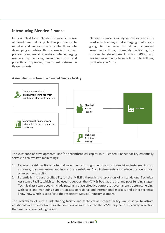# **Introducing Blended Finance**

In its simplest form, Blended Finance is the use of developmental or philanthropic finance to mobilise and unlock private capital flows into developing countries. Its purpose is to attract private commercial investors into emerging markets by reducing investment risk and potentially improving investment returns in those markets.

Blended Finance is widely viewed as one of the most effective ways that emerging markets are going to be able to attract increased investments flows, ultimately facilitating the sustainable development goals (SDGs) and moving investments from billions into trillions, particularly in Africa.

#### **A simplified structure of a Blended Finance facility**



The existence of developmental and/or philanthropical capital in a Blended Finance facility essentially serves to achieve two main things:

- 1. Reduce the risk profile of potential investments through the provision of de-risking instruments such as grants, loan guarantees and interest rate subsidies. Such instruments also reduce the overall cost of investment capital.
- 2. Potentially increase profitability of the MSMEs through the provision of a standalone Technical Assistance Facility which can be used to support the MSMEs both at the pre-and post-funding stages. Technical assistance could include putting in place effective corporate governance structures, helping with sales and marketing support, access to regional and international markets and other technical know-how which is specific to the respective MSMEs' industry segment.

The availability of such a risk sharing facility and technical assistance facility would serve to attract additional investments from private commercial investors into the MSME segment, especially in sectors that are considered of higher risk.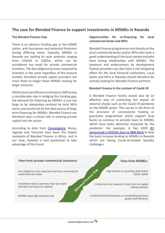# **The case for Blended Finance to support investments in MSMEs in Rwanda**

#### **The Blended Finance Gap**

There is an obvious funding gap in the MSME sector, with businesses and potential financiers having differing views. Typically, MSMEs in Rwanda are looking to raise amounts ranging from US\$10k to US\$2m, which can be considered too small for private commercial investors. The due diligence process required by investors is the same regardless of the amount funded, therefore private capital providers are more likely to target those MSMEs looking for larger amounts.

Whilst local microfinance institutions(MFIs) play a considerable role in bridging this funding gap, the demand for financing by MSMEs is just too large to be adequately serviced by local MFIs alone, and would not be the ideal source of longterm financing for MSMEs. Blended Finance can therefore play a critical role in enticing private capital into the sector.

According to data from [Convergence,](https://www.convergence.finance/) Kenya, Uganda and Tanzania have been the largest recipients of Blended Finance in Africa, and in our view, Rwanda is well positioned to take advantage of this trend.

## **Opportunities for co-financing for local commercial banks and MFIs**

Blended Finance programmes rely heavily on the local commercial banks and/or MFIs who have a good understanding of the local market and who have strong relationships with MSMEs. The presence and endorsement by development finance providers can also have a risk mitigating effect for the local financial institutions. Local banks and MFIs in Rwanda should therefore be actively looking for Blended Finance partners.

#### **Blended Finance in the context of Covid-19**

A Blended Finance facility would also be an effective way of cushioning the impact of external shocks such as the Covid-19 pandemic on the MSME sector. This can be in the form of the provision of concessional funding or guarantee programmes which support local banks to continue to provide loans to MSMEs which have been adversely impacted by the pandemic. For example, in Dec 2020 IFC [announced a US\\$10m loan to I&M Bank](https://pressroom.ifc.org/all/pages/PressDetail.aspx?ID=26096) to help the bank increase lending to MSMEs in Rwanda which are facing Covid-19-related liquidity challenges.

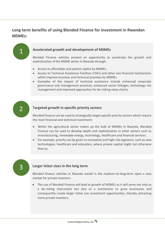# **Long term benefits of using Blended Finance for investment in Rwandan MSMEs:**



## **Accelerated growth and development of MSMEs**

Blended Finance vehicles present an opportunity to accelerate the growth and sophistication of the MSME sector in Rwanda through:

- Access to affordable and patient capital by MSMEs.
- Access to Technical Assistance Facilities (TAFs) and other non-financial mechanisms which improve business and technical practises by MSMEs.
- Examples of the impact of technical assistance include enhanced corporate governance and management practices, enhanced sector linkages, technology risk management and improved approaches for de-risking value chains.



3

## **Targeted growth in specific priority sectors**

Blended Finance can be used to strategically target specific priority sectors which require the most financial and technical investment:

- Whilst the agricultural sector makes up the bulk of MSMEs in Rwanda, Blended Finance can be used to develop depth and sophistication in other sectors such as manufacturing, renewable energy, technology, healthcare and financial services.
- For example, priority can be given to innovation and high-risk segments, such as new technologies, healthcare and education, where private capital might not otherwise flow to**.**

## **Larger ticket sizes in the long term**

Blended finance vehicles in Rwanda would in the medium-to-long-term open a new market for private investors:

• The use of Blended Finance will lead to growth of MSMEs as it will serve not only as a de-risking instrument but also as a mechanism to grow businesses and consequently create larger ticket size investment opportunities, thereby attracting more private investors.